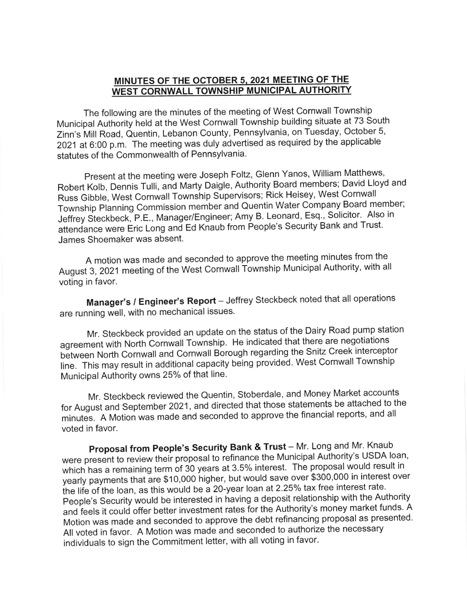## MINUTES OF THE OCTOBER 5, 2021 MEETING OF THE WEST CORNWALL TOWNSHIP MUNICIPAL AUTHORITY

The following are the minutes of the meeting of West Cornwall Township Municipal Authority held at the West Cornwall Township building situate at 73 South Zinn's h/ill Road, Quentin, Lebanon County, Pennsylvania, on Tuesday, October 5, 2021 at 6:00 p.m. The meeting was duly advertised as required by the applicable statutes of the Commonwealth of Pennsylvania.

Present at the meeting were Joseph Foltz, Glenn Yanos, William Matthews, Robert Kolb, Dennis Tulli, and Marty Daigle, Authority Board members; David Lloyd and Russ Gibble, West Comwall Township Supervisors; Rick Heisey, West Cornwall Township Planning Commission member and Quentin Water Company Board member; Jeffrey Steckbeck, P.E., Manager/Engineer; Amy B. Leonard, Esq., Solicitor. Also in attendance were Eric Long and Ed Knaub from People's Security Bank and Trust. James Shoemaker was absent.

A motion was made and seconded to approve the meeting minutes from the August 3, 2021 meeting of the West Cornwall Township Municipal Authority, with all voting in favor.

Manager's / Engineer's Report - Jeffrey Steckbeck noted that all operations are running well, with no mechanical issues.

Mr. Steckbeck provided an update on the status of the Dairy Road pump station agreement with North cornwall Township. He indicated that there are negotiations between North Cornwall and Cornwall Borough regarding the Snitz Creek interceptor line. This may result in additional capacity being provided. West Cornwall Township Municipal Authority owns 25% of that line.

Mr. Steckbeck reviewed the Quentin, Stoberdale, and Money Market accounts for August and September 2021, and directed that those statements be attached to the minutes. A Motion was made and seconded to approve the financial reports, and all voted in favor.

Proposal from People's Security Bank & Trust - Mr. Long and Mr. Knaub were present to review their proposal to refinance the Municipal Authority's USDA loan, which has a remaining term of 30 years at 3.5% interest. The proposal would result in yearly payments that are \$10,000 higher, but would save over \$300,000 in interest over the life of the loan, as this would be a 20-year loan at 2.25% tax free interest rate. People's Security would be interested in having a deposit relationship with the Authority and feels it could offer better investment rates for the Authority's money market funds. A Motion was made and seconded to approve the debt refinancing proposal as presented. All voted in favor. A Motion was made and seconded to authorize the necessary individuals to sign the Commitment letter, with all voting in favor.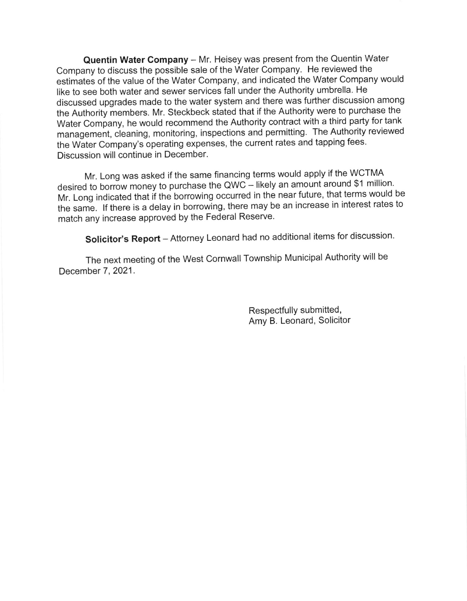Quentin Water Company - Mr. Heisey was present from the Quentin Water Company to discuss the possible sale of the Water Company. He reviewed the estimates of the value of the Water Company, and indicated the Water Company would like to see both water and sewer services fall under the Authority umbrella. He discussed upgrades made to the water system and there was further discussion among the Authority members. Mr. Steckbeck stated that if the Authority were to purchase the Water Company, he would recommend the Authority contract with a third party for tank management, cieaning, monitoring, inspections and permitting. The Authority reviewed the Water Company's operating expenses, the current rates and tapping fees. Discussion will continue in December.

Mr. Long was asked if the same financing terms would apply if the WCTMA desired to borrow money to purchase the QWC - likely an amount around \$1 million. Mr. Long indicated that if the borrowing occurred in the near future, that terms would be the same. If there is a delay in borrowing, there may be an increase in interest rates to match any increase approved by the Federal Reserve.

Solicitor's Report - Attorney Leonard had no additional items for discussion.

The next meeting of the west cornwall Township Municipal Authority will be December 7, 2021.

> Respectfully submitted, Amy B. Leonard, Solicitor